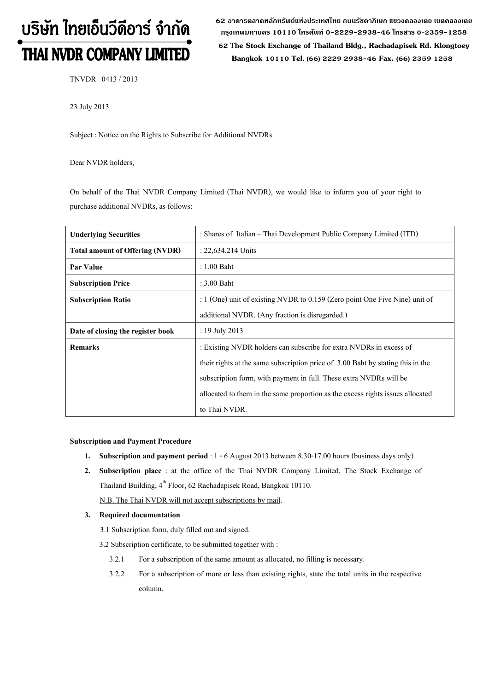# บริษัท ไทยเอ็นวีดีอาร์ จำกัด THAI NVDR COMPANY LIMITED

62 อาดารตลาดหลักทรัพย์แห่งประเทศไทย ถนนรัซดาภิเษก แขวงดลองเตย เขตดลองเตย **ก"# 10110 & 0-2229-2938-46 &, 0-2359-1258**

 **62 The Stock Exchange of Thailand Bldg., Rachadapisek Rd. Klongtoey Bangkok 10110 Tel. (66) 2229 2938-46 Fax. (66) 2359 1258**

TNVDR 0413 / 2013

23 July 2013

Subject : Notice on the Rights to Subscribe for Additional NVDRs

Dear NVDR holders,

On behalf of the Thai NVDR Company Limited (Thai NVDR), we would like to inform you of your right to purchase additional NVDRs, as follows:

| <b>Underlying Securities</b>           | : Shares of Italian – Thai Development Public Company Limited (ITD)             |
|----------------------------------------|---------------------------------------------------------------------------------|
| <b>Total amount of Offering (NVDR)</b> | : 22,634,214 Units                                                              |
| Par Value                              | $: 1.00$ Baht                                                                   |
| <b>Subscription Price</b>              | : 3.00 Baht                                                                     |
| <b>Subscription Ratio</b>              | : $1$ (One) unit of existing NVDR to 0.159 (Zero point One Five Nine) unit of   |
|                                        | additional NVDR. (Any fraction is disregarded.)                                 |
| Date of closing the register book      | : 19 July 2013                                                                  |
| <b>Remarks</b>                         | : Existing NVDR holders can subscribe for extra NVDRs in excess of              |
|                                        | their rights at the same subscription price of 3.00 Baht by stating this in the |
|                                        | subscription form, with payment in full. These extra NVDRs will be              |
|                                        | allocated to them in the same proportion as the excess rights issues allocated  |
|                                        | to Thai NVDR.                                                                   |

# **Subscription and Payment Procedure**

- **1.** Subscription and payment period :  $1 6$  August 2013 between 8.30-17.00 hours (business days only)
- **2. Subscription place** : at the office of the Thai NVDR Company Limited, The Stock Exchange of Thailand Building, 4<sup>th</sup> Floor, 62 Rachadapisek Road, Bangkok 10110. N.B. The Thai NVDR will not accept subscriptions by mail.

# **3. Required documentation**

- 3.1 Subscription form, duly filled out and signed.
- 3.2 Subscription certificate, to be submitted together with :
	- 3.2.1 For a subscription of the same amount as allocated, no filling is necessary.
	- 3.2.2 For a subscription of more or less than existing rights, state the total units in the respective column.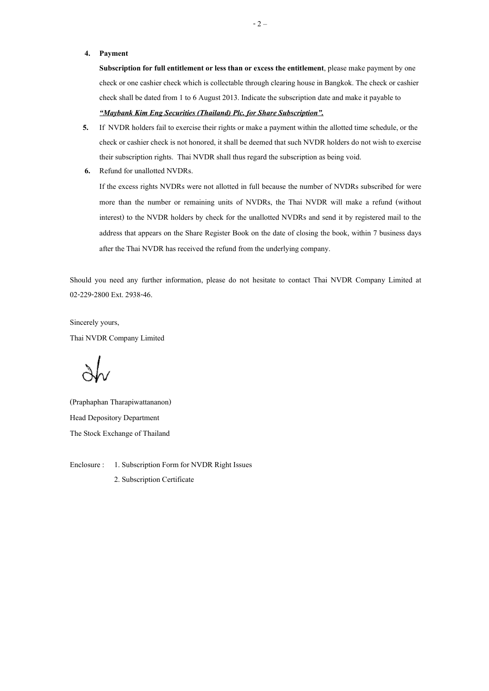#### **4. Payment**

**Subscription for full entitlement or less than or excess the entitlement**, please make payment by one check or one cashier check which is collectable through clearing house in Bangkok. The check or cashier check shall be dated from 1 to 6 August 2013. Indicate the subscription date and make it payable to *-Maybank Kim Eng Securities (Thailand) Plc. for Share Subscription .*

- **5.** If NVDR holders fail to exercise their rights or make a payment within the allotted time schedule, or the check or cashier check is not honored, it shall be deemed that such NVDR holders do not wish to exercise their subscription rights. Thai NVDR shall thus regard the subscription as being void.
- **6.** Refund for unallotted NVDRs.

If the excess rights NVDRs were not allotted in full because the number of NVDRs subscribed for were more than the number or remaining units of NVDRs, the Thai NVDR will make a refund (without interest) to the NVDR holders by check for the unallotted NVDRs and send it by registered mail to the address that appears on the Share Register Book on the date of closing the book, within 7 business days after the Thai NVDR has received the refund from the underlying company.

Should you need any further information, please do not hesitate to contact Thai NVDR Company Limited at 02-229-2800 Ext. 2938-46.

Sincerely yours, Thai NVDR Company Limited

(Praphaphan Tharapiwattananon) Head Depository Department The Stock Exchange of Thailand

Enclosure : 1. Subscription Form for NVDR Right Issues

2. Subscription Certificate